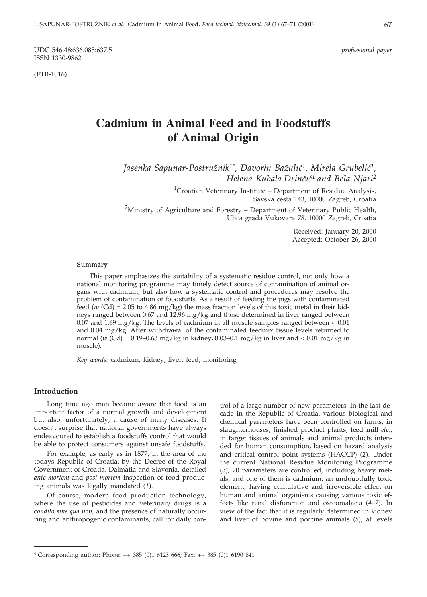UDC 546.48:636.085:637.5 *professional paper* ISSN 1330-9862

(FTB-1016)

# **Cadmium in Animal Feed and in Foodstuffs of Animal Origin**

*Jasenka Sapunar-Postru`nik1\*, Davorin Ba`uli}1, Mirela Grubeli}1, Helena Kubala Drinčić<sup>1</sup> and Bela Njari<sup>2</sup>* 

> <sup>1</sup>Croatian Veterinary Institute - Department of Residue Analysis, Savska cesta 143, 10000 Zagreb, Croatia

<sup>2</sup>Ministry of Agriculture and Forestry – Department of Veterinary Public Health, Ulica grada Vukovara 78, 10000 Zagreb, Croatia

> Received: January 20, 2000 Accepted: October 26, 2000

#### **Summary**

This paper emphasizes the suitability of a systematic residue control, not only how a national monitoring programme may timely detect source of contamination of animal organs with cadmium, but also how a systematic control and procedures may resolve the problem of contamination of foodstuffs. As a result of feeding the pigs with contaminated feed ( $w$  (Cd) = 2.05 to 4.86 mg/kg) the mass fraction levels of this toxic metal in their kidneys ranged between 0.67 and 12.96 mg/kg and those determined in liver ranged between 0.07 and  $1.69 \text{ mg/kg}$ . The levels of cadmium in all muscle samples ranged between  $< 0.01$ and 0.04 mg/kg. After withdrawal of the contaminated feedmix tissue levels returned to normal (*w* (Cd) = 0.19–0.63 mg/kg in kidney, 0.03–0.1 mg/kg in liver and < 0.01 mg/kg in muscle).

*Key words:* cadmium, kidney, liver, feed, monitoring

#### **Introduction**

Long time ago man became aware that food is an important factor of a normal growth and development but also, unfortunately, a cause of many diseases. It doesn't surprise that national governments have always endeavoured to establish a foodstuffs control that would be able to protect consumers against unsafe foodstuffs.

For example, as early as in 1877, in the area of the todays Republic of Croatia, by the Decree of the Royal Government of Croatia, Dalmatia and Slavonia, detailed *ante-mortem* and *post-mortem* inspection of food producing animals was legally mandated (*1*).

Of course, modern food production technology, where the use of pesticides and veterinary drugs is a c*ondito sine qua non,* and the presence of naturally occurring and anthropogenic contaminants, call for daily con-

trol of a large number of new parameters. In the last decade in the Republic of Croatia, various biological and chemical parameters have been controlled on farms, in slaughterhouses, finished product plants, feed mill *etc*., in target tissues of animals and animal products intended for human consumption, based on hazard analysis and critical control point systems (HACCP) (*2*). Under the current National Residue Monitoring Programme (*3*), 70 parameters are controlled, including heavy metals, and one of them is cadmium, an undoubtfully toxic element, having cumulative and irreversible effect on human and animal organisms causing various toxic effects like renal disfunction and osteomalacia (*4–7*). In view of the fact that it is regularly determined in kidney and liver of bovine and porcine animals (*8*), at levels

<sup>\*</sup> Corresponding author; Phone: ++ 385 (0)1 6123 666; Fax: ++ 385 (0)1 6190 841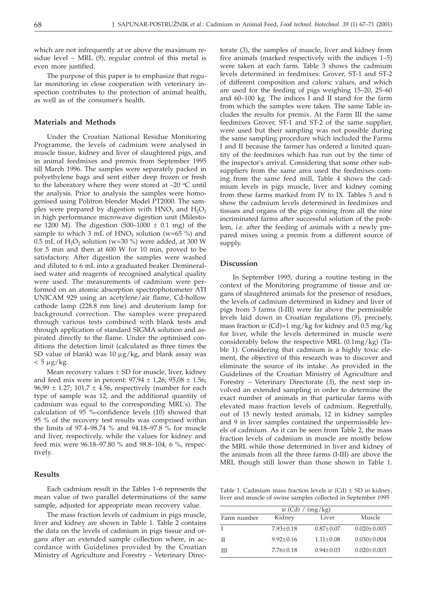which are not infrequently at or above the maximum residue level – MRL (*9*), regular control of this metal is even more justified.

The purpose of this paper is to emphasize that regular monitoring in close cooperation with veterinary inspection contributes to the protection of animal health, as well as of the consumer's health.

### **Materials and Methods**

Under the Croatian National Residue Monitoring Programme, the levels of cadmium were analysed in muscle tissue, kidney and liver of slaughtered pigs, and in animal feedmixes and premix from September 1995 till March 1996. The samples were separately packed in polyethylene bags and sent either deep frozen or fresh to the laboratory where they were stored at  $-20$  °C until the analysis. Prior to analysis the samples were homogenised using Politron blender Model PT2000. The samples were prepared by digestion with  $HNO<sub>3</sub>$  and  $H<sub>2</sub>O<sub>2</sub>$ in high performance microwave digestion unit (Milestone 1200 M). The digestion  $(500-1000 \pm 0.1 \text{ mg})$  of the sample to which 3 mL of HNO<sub>3</sub> solution (w=65 %) and 0.5 mL of  $H_2O_2$  solution (w=30 %) were added, at 300 W for 5 min and then at 600 W for 10 min, proved to be satisfactory. After digestion the samples were washed and diluted to 6 mL into a graduated beaker. Demineralised water and reagents of recognised analytical quality were used. The measurements of cadmium were performed on an atomic absorption spectrophotometer ATI UNICAM 929 using an acetylene/air flame, Cd-hollow cathode lamp (228.8 nm line) and deuterium lamp for background correction. The samples were prepared through various tests combined with blank tests and through application of standard SIGMA solution and aspirated directly to the flame. Under the optimised conditions the detection limit (calculated as three times the SD value of blank) was 10  $\mu$ g/kg, and blank assay was  $< 5 \mu g/kg$ .

Mean recovery values  $\pm$  SD for muscle, liver, kidney and feed mix were in percent:  $97,94 \pm 1,26$ ;  $95,08 \pm 1.56$ ;  $96,99 \pm 1.27$ ;  $101.7 \pm 4.56$ , respectively (number for each type of sample was 12, and the additional quantity of cadmium was equal to the corresponding MRL's). The calculation of 95 %-confidence levels (*10*) showed that 95 % of the recovery test results was comprised within the limits of 97.4–98.74 % and 94.18–97.8 % for muscle and liver, respectively, while the values for kidney and feed mix were 96.18–97.80 % and 98.8–104, 6 %, respectively.

#### **Results**

Each cadmium result in the Tables 1–6 represents the mean value of two parallel determinations of the same sample, adjusted for appropriate mean recovery value.

The mass fraction levels of cadmium in pigs muscle, liver and kidney are shown in Table 1. Table 2 contains the data on the levels of cadmium in pigs tissue and organs after an extended sample collection where, in accordance with Guidelines provided by the Croatian Ministry of Agriculture and Forestry – Veterinary Direc-

torate (*3*), the samples of muscle, liver and kidney from five animals (marked respectively with the indices 1–5) were taken at each farm. Table 3 shows the cadmium levels determined in feedmixes: Grover, ST-1 and ST-2 of different composition and caloric values, and which are used for the feeding of pigs weighing 15–20, 25–60 and 60–100 kg. The indices I and II stand for the farm from which the samples were taken. The same Table includes the results for premix. At the Farm III the same feedmixes Grover, ST-1 and ST-2 of the same supplier, were used but their sampling was not possible during the same sampling procedure which included the Farms I and II because the farmer has ordered a limited quantity of the feedmixes which has run out by the time of the inspector's arrival. Considering that some other subsuppliers from the same area used the feedmixes coming from the same feed mill, Table 4 shows the cadmium levels in pigs muscle, liver and kidney coming from these farms marked from IV to IX. Tables 5 and 6 show the cadmium levels determined in feedmixes and tissues and organs of the pigs coming from all the nine incriminated farms after successful solution of the problem, *i.e*. after the feeding of animals with a newly prepared mixes using a premix from a different source of supply.

#### **Discussion**

In September 1995, during a routine testing in the context of the Monitoring programme of tissue and organs of slaughtered animals for the presence of residues, the levels of cadmium determined in kidney and liver of pigs from 3 farms (I-III) were far above the permissible levels laid down in Croatian regulations (*9*), precisely, mass fraction  $w$  (Cd)=1 mg/kg for kidney and  $0.5$  mg/kg for liver, while the levels determined in muscle were considerably below the respective MRL (0.1mg/kg) (Table 1). Considering that cadmium is a highly toxic element, the objective of this research was to discover and eliminate the source of its intake. As provided in the Guidelines of the Croatian Ministry of Agriculture and Forestry – Veterinary Directorate (*3*), the next step involved an extended sampling in order to determine the exact number of animals in that particular farms with elevated mass fraction levels of cadmium. Regretfully, out of 15 newly tested animals, 12 in kidney samples and 9 in liver samples contained the unpermissible levels of cadmium. As it can be seen from Table 2, the mass fraction levels of cadmium in muscle are mostly below the MRL while those determined in liver and kidney of the animals from all the three farms (I-III) are above the MRL though still lower than those shown in Table 1.

Table 1. Cadmium mass fraction levels  $w$  (Cd)  $\pm$  SD in kidney, liver and muscle of swine samples collected in September 1995

| $w$ (Cd) / (mg/kg) |               |                 |                   |
|--------------------|---------------|-----------------|-------------------|
| Farm number        | Kidney        | Liver           | Muscle            |
|                    | $7.93 + 0.18$ | $0.87 + 0.07$   | $0.020 \pm 0.003$ |
| П                  | $9.92 + 0.16$ | $1.11 \pm 0.08$ | $0.030 \pm 0.004$ |
| Ш                  | $7.76 + 0.18$ | $0.94 + 0.03$   | $0.020 \pm 0.003$ |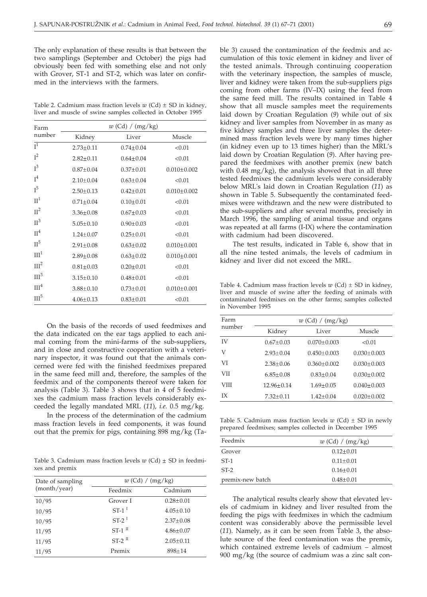The only explanation of these results is that between the two samplings (September and October) the pigs had obviously been fed with something else and not only with Grover, ST-1 and ST-2, which was later on confirmed in the interviews with the farmers.

Table 2. Cadmium mass fraction levels  $w$  (Cd)  $\pm$  SD in kidney, liver and muscle of swine samples collected in October 1995

| Farm             |                 | $w$ (Cd) / (mg/kg) |                   |
|------------------|-----------------|--------------------|-------------------|
| number           | Kidney          | Liver              | Muscle            |
| I <sup>1</sup>   | $2.73 \pm 0.11$ | $0.74 + 0.04$      | < 0.01            |
| $I^2$            | $2.82 \pm 0.11$ | $0.64 \pm 0.04$    | < 0.01            |
| $I^3$            | $0.87 \pm 0.04$ | $0.37 \pm 0.01$    | $0.010 \pm 0.002$ |
| $I^4$            | $2.10+0.04$     | $0.63 + 0.04$      | < 0.01            |
| $I^5$            | $2.50 \pm 0.13$ | $0.42 \pm 0.01$    | $0.010 \pm 0.002$ |
| $\Pi^1$          | $0.71 \pm 0.04$ | $0.10 \pm 0.01$    | < 0.01            |
| $\Pi^2$          | $3.36 \pm 0.08$ | $0.67 \pm 0.03$    | < 0.01            |
| $\mathbb{II}^3$  | $5.05 \pm 0.10$ | $0.90 \pm 0.03$    | < 0.01            |
| $\Pi^4$          | $1.24 \pm 0.07$ | $0.25 \pm 0.01$    | < 0.01            |
| $\Pi^5$          | $2.91 \pm 0.08$ | $0.63 \pm 0.02$    | $0.010 \pm 0.001$ |
| III <sup>1</sup> | $2.89 + 0.08$   | $0.63 + 0.02$      | $0.010 \pm 0.001$ |
| III <sup>2</sup> | $0.81 \pm 0.03$ | $0.20 \pm 0.01$    | < 0.01            |
| III <sup>3</sup> | $3.15 \pm 0.10$ | $0.48 \pm 0.01$    | < 0.01            |
| III <sup>4</sup> | $3.88 \pm 0.10$ | $0.73 \pm 0.01$    | $0.010 \pm 0.001$ |
| III <sup>5</sup> | $4.06 \pm 0.13$ | $0.83 \pm 0.01$    | < 0.01            |

On the basis of the records of used feedmixes and the data indicated on the ear tags applied to each animal coming from the mini-farms of the sub-suppliers, and in close and constructive cooperation with a veterinary inspector, it was found out that the animals concerned were fed with the finished feedmixes prepared in the same feed mill and, therefore, the samples of the feedmix and of the components thereof were taken for analysis (Table 3). Table 3 shows that in 4 of 5 feedmixes the cadmium mass fraction levels considerably exceeded the legally mandated MRL (*11*), *i.e.* 0.5 mg/kg.

In the process of the determination of the cadmium mass fraction levels in feed components, it was found out that the premix for pigs, containing 898 mg/kg (Ta-

Table 3. Cadmium mass fraction levels  $w$  (Cd)  $\pm$  SD in feedmixes and premix

| Date of sampling | $w$ (Cd) / (mg/kg)   |                 |  |
|------------------|----------------------|-----------------|--|
| (month/year)     | Feedmix              | Cadmium         |  |
| 10/95            | Grover I             | $0.28 \pm 0.01$ |  |
| 10/95            | $ST-1$ <sup>I</sup>  | $4.05 \pm 0.10$ |  |
| 10/95            | $ST-2$ <sup>I</sup>  | $2.37+0.08$     |  |
| 11/95            | $ST-1$ <sup>II</sup> | $4.86 \pm 0.07$ |  |
| 11/95            | $ST-2$ <sup>II</sup> | $2.05 \pm 0.11$ |  |
| 11/95            | Premix               | $898 \pm 14$    |  |

ble 3) caused the contamination of the feedmix and accumulation of this toxic element in kidney and liver of the tested animals. Through continuing cooperation with the veterinary inspection, the samples of muscle, liver and kidney were taken from the sub-suppliers pigs coming from other farms (IV–IX) using the feed from the same feed mill. The results contained in Table 4 show that all muscle samples meet the requirements laid down by Croatian Regulation (*9*) while out of six kidney and liver samples from November in as many as five kidney samples and three liver samples the determined mass fraction levels were by many times higher (in kidney even up to 13 times higher) than the MRL's laid down by Croatian Regulation (*9*). After having prepared the feedmixes with another premix (new batch with  $0.48 \text{ mg/kg}$ , the analysis showed that in all three tested feedmixes the cadmium levels were considerably below MRL's laid down in Croatian Regulation (*11*) as shown in Table 5. Subsequently the contaminated feedmixes were withdrawn and the new were distributed to the sub-suppliers and after several months, precisely in March 1996, the sampling of animal tissue and organs was repeated at all farms (I-IX) where the contamination with cadmium had been discovered.

The test results, indicated in Table 6, show that in all the nine tested animals, the levels of cadmium in kidney and liver did not exceed the MRL.

Table 4. Cadmium mass fraction levels  $w$  (Cd)  $\pm$  SD in kidney, liver and muscle of swine after the feeding of animals with contaminated feedmixes on the other farms; samples collected in November 1995

| Farm<br>number | $w$ (Cd) / (mg/kg) |                   |                   |
|----------------|--------------------|-------------------|-------------------|
|                | Kidney             | Liver             | Muscle            |
| IV             | $0.67 \pm 0.03$    | $0.070 \pm 0.003$ | < 0.01            |
| V              | $2.93 + 0.04$      | $0.450 + 0.003$   | $0.030 \pm 0.003$ |
| VI             | $2.38 + 0.06$      | $0.360 \pm 0.002$ | $0.030 + 0.003$   |
| VII            | $6.85 \pm 0.08$    | $0.83 \pm 0.04$   | $0.030 \pm 0.002$ |
| VIII           | $12.96 + 0.14$     | $1.69 + 0.05$     | $0.040 + 0.003$   |
| IХ             | $7.32 \pm 0.11$    | $1.42 \pm 0.04$   | $0.020 \pm 0.002$ |
|                |                    |                   |                   |

Table 5. Cadmium mass fraction levels  $w$  (Cd)  $\pm$  SD in newly prepared feedmixes; samples collected in December 1995

| Feedmix          | $w$ (Cd) / (mg/kg) |
|------------------|--------------------|
| Grover           | $0.12 \pm 0.01$    |
| $ST-1$           | $0.11 \pm 0.01$    |
| $ST-2$           | $0.16 \pm 0.01$    |
| premix-new batch | $0.48 \pm 0.01$    |

The analytical results clearly show that elevated levels of cadmium in kidney and liver resulted from the feeding the pigs with feedmixes in which the cadmium content was considerably above the permissible level (*11*). Namely, as it can be seen from Table 3, the absolute source of the feed contamination was the premix, which contained extreme levels of cadmium – almost 900 mg/kg (the source of cadmium was a zinc salt con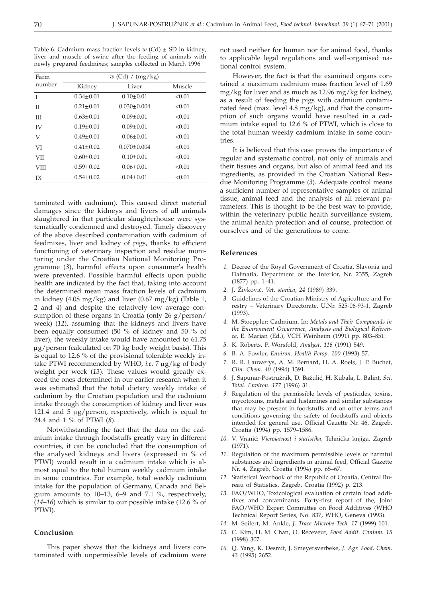Table 6. Cadmium mass fraction levels  $w$  (Cd)  $\pm$  SD in kidney, liver and muscle of swine after the feeding of animals with newly prepared feedmixes; samples collected in March 1996

| Farm<br>number | $w$ (Cd) / (mg/kg) |                 |        |
|----------------|--------------------|-----------------|--------|
|                | Kidney             | Liver           | Muscle |
| T              | $0.34 \pm 0.01$    | $0.10 \pm 0.01$ | < 0.01 |
| П              | $0.21 \pm 0.01$    | $0.030 + 0.004$ | < 0.01 |
| Ш              | $0.63 \pm 0.01$    | $0.09 + 0.01$   | < 0.01 |
| <b>IV</b>      | $0.19 + 0.01$      | $0.09 + 0.01$   | < 0.01 |
| V              | $0.49 \pm 0.01$    | $0.06 \pm 0.01$ | < 0.01 |
| VI             | $0.41 + 0.02$      | $0.070 + 0.004$ | < 0.01 |
| <b>VII</b>     | $0.60 + 0.01$      | $0.10 + 0.01$   | < 0.01 |
| <b>VIII</b>    | $0.59 + 0.02$      | $0.06 \pm 0.01$ | < 0.01 |
| IХ             | $0.54 \pm 0.02$    | $0.04 \pm 0.01$ | < 0.01 |

taminated with cadmium). This caused direct material damages since the kidneys and livers of all animals slaughtered in that particular slaughterhouse were systematically condemned and destroyed. Timely discovery of the above described contamination with cadmium of feedmixes, liver and kidney of pigs, thanks to efficient functioning of veterinary inspection and residue monitoring under the Croatian National Monitoring Programme (*3*), harmful effects upon consumer's health were prevented. Possible harmful effects upon public health are indicated by the fact that, taking into account the determined mean mass fraction levels of cadmium in kidney (4.08 mg/kg) and liver (0.67 mg/kg) (Table 1, 2 and 4) and despite the relatively low average consumption of these organs in Croatia (only 26 g/person/ week) (*12*), assuming that the kidneys and livers have been equally consumed (50 % of kidney and 50 % of liver), the weekly intake would have amounted to 61.75 µg/person (calculated on 70 kg body weight basis). This is equal to 12.6 % of the provisional tolerable weekly intake PTWI recommended by WHO, *i.e.* 7 µg/kg of body weight per week (*13*). These values would greatly exceed the ones determined in our earlier research when it was estimated that the total dietary weekly intake of cadmium by the Croatian population and the cadmium intake through the consumption of kidney and liver was 121.4 and  $5 \mu g /$  person, respectively, which is equal to 24.4 and 1 % of PTWI (*8*).

Notwithstanding the fact that the data on the cadmium intake through foodstuffs greatly vary in different countries, it can be concluded that the consumption of the analysed kidneys and livers (expressed in % of PTWI) would result in a cadmium intake which is almost equal to the total human weekly cadmium intake in some countries. For example, total weekly cadmium intake for the population of Germany, Canada and Belgium amounts to 10–13, 6–9 and 7.1 %, respectively, (*14–16*) which is similar to our possible intake (12.6 % of PTWI).

#### **Conclusion**

This paper shows that the kidneys and livers contaminated with unpermissible levels of cadmium were not used neither for human nor for animal food, thanks to applicable legal regulations and well-organised national control system.

However, the fact is that the examined organs contained a maximum cadmium mass fraction level of 1.69 mg/kg for liver and as much as 12.96 mg/kg for kidney, as a result of feeding the pigs with cadmium contaminated feed (max. level 4.8 mg/kg), and that the consumption of such organs would have resulted in a cadmium intake equal to 12.6 % of PTWI, which is close to the total human weekly cadmium intake in some countries.

It is believed that this case proves the importance of regular and systematic control, not only of animals and their tissues and organs, but also of animal feed and its ingredients, as provided in the Croatian National Residue Monitoring Programme (*3*). Adequate control means a sufficient number of representative samples of animal tissue, animal feed and the analysis of all relevant parameters. This is thought to be the best way to provide, within the veterinary public health surveillance system, the animal health protection and of course, protection of ourselves and of the generations to come.

#### **References**

- *1.* Decree of the Royal Government of Croatia, Slavonia and Dalmatia, Department of the Interior, Nr. 2355, Zagreb (1877) pp. 1–41.
- *2.* J. @ivkovi}, *Vet. stanica, 24* (1989) 339.
- *3.* Guidelines of the Croatian Ministry of Agriculture and Forestry – Veterinary Directorate, U.Nr. 525-06-93-1, Zagreb (1993).
- *4.* M. Stoeppler: Cadmium. In: *Metals and Their Compounds in the Environment Occurrence, Analysis and Biological Reference*, E. Marian (Ed.), VCH Weinheim (1991) pp. 803–851.
- *5.* K. Roberts, P. Worsfold, *Analyst, 116* (1991) 549.
- *6.* B. A. Fowler, *Environ. Health Persp. 100* (1993) 57.
- *7.* R. R. Lauwerys, A. M. Bernard, H. A. Roels, J. P. Buchet, *Clin. Chem. 40* (1994) 1391.
- 8. J. Sapunar-Postružnik, D. Bažulić, H. Kubala, L. Balint, *Sci. Total. Environ. 177* (1996) 31.
- *9.* Regulation of the permissible levels of pesticides, toxins, mycotoxins, metals and histamines and similar substances that may be present in foodstuffs and on other terms and conditions governing the safety of foodstuffs and objects intended for general use, Official Gazette Nr. 46, Zagreb, Croatia (1994) pp. 1579–1586.
- 10. V. Vranić: Vjerojatnost i statistika, Tehnička knjiga, Zagreb (1971).
- *11.* Regulation of the maximum permissible levels of harmful substances and ingredients in animal feed, Official Gazette Nr. 4, Zagreb, Croatia (1994) pp. 65–67.
- *12.* Statistical Yearbook of the Republic of Croatia, Central Bureau of Statistics, Zagreb, Croatia (1992) p. 213.
- *13.* FAO/WHO, Toxicological evaluation of certain food additives and contaminants. Forty-first report of the, Joint FAO/WHO Expert Committee on Food Additives (WHO Technical Report Series, No. 837, WHO, Geneva (1993).
- *14.* M. Seifert, M. Ankle, *J. Trace Microbe Tech. 17* (1999) 101.
- *15.* C. Kim, H. M. Chan, O. Receveur, *Food Addit. Contam. 15* (1998) 307.
- *16.* Q. Yang, K. Desmit, J. Smeyersverbeke, *J. Agr. Food. Chem. 43* (1995) 2652.